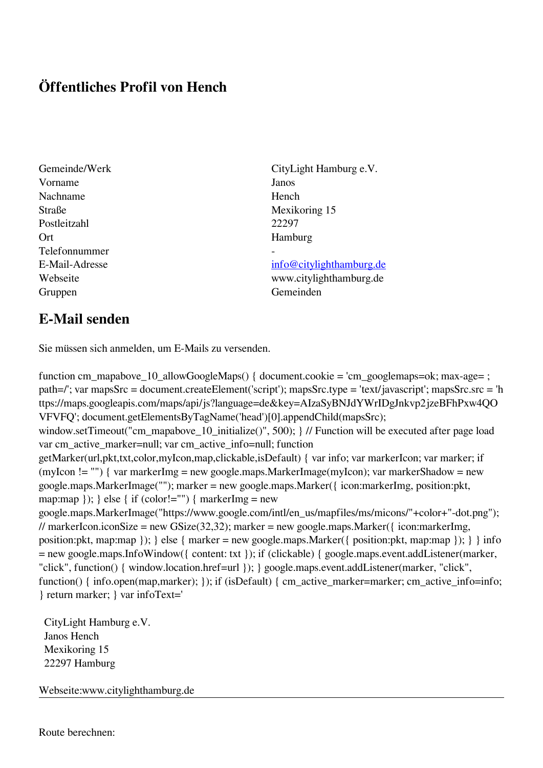## **Öffentliches Profil von Hench**

- Vorname Janos Nachname Hench Straße Mexikoring 15 Postleitzahl 22297 Ort Hamburg Telefonnummer - Gruppen Gemeinden Gemeinden Gemeinden Gemeinden Gemeinden Gemeinden Gemeinden Gemeinden Gemeinden Gemeinden G
- Gemeinde/Werk CityLight Hamburg e.V.

E-Mail-Adresse [info@citylighthamburg.de](mailto:info@citylighthamburg.de) Webseite www.citylighthamburg.de

## **E-Mail senden**

Sie müssen sich anmelden, um E-Mails zu versenden.

function cm\_mapabove\_10\_allowGoogleMaps() { document.cookie = 'cm\_googlemaps=ok; max-age= ; path=/'; var mapsSrc = document.createElement('script'); mapsSrc.type = 'text/javascript'; mapsSrc.src = 'h ttps://maps.googleapis.com/maps/api/js?language=de&key=AIzaSyBNJdYWrIDgJnkvp2jzeBFhPxw4QO VFVFQ'; document.getElementsByTagName('head')[0].appendChild(mapsSrc); window.setTimeout("cm\_mapabove\_10\_initialize()", 500); } // Function will be executed after page load var cm\_active\_marker=null; var cm\_active\_info=null; function getMarker(url,pkt,txt,color,myIcon,map,clickable,isDefault) { var info; var markerIcon; var marker; if (myIcon != "") { var markerImg = new google.maps.MarkerImage(myIcon); var markerShadow = new google.maps.MarkerImage(""); marker = new google.maps.Marker({ icon:markerImg, position:pkt, map:map  $\}$ ;  $\}$  else  $\{$  if (color!="")  $\{$  markerImg = new google.maps.MarkerImage("https://www.google.com/intl/en\_us/mapfiles/ms/micons/"+color+"-dot.png"); // markerIcon.iconSize = new GSize(32,32); marker = new google.maps.Marker({ $i$ con:markerImg, position:pkt, map:map }); } else { marker = new google.maps.Marker({ position:pkt, map:map }); } } info = new google.maps.InfoWindow({ content: txt }); if (clickable) { google.maps.event.addListener(marker, "click", function() { window.location.href=url }); } google.maps.event.addListener(marker, "click", function() { info.open(map,marker); }); if (isDefault) { cm\_active\_marker=marker; cm\_active\_info=info; } return marker; } var infoText='

 CityLight Hamburg e.V. Janos Hench Mexikoring 15 22297 Hamburg

Webseite:www.citylighthamburg.de

Route berechnen: